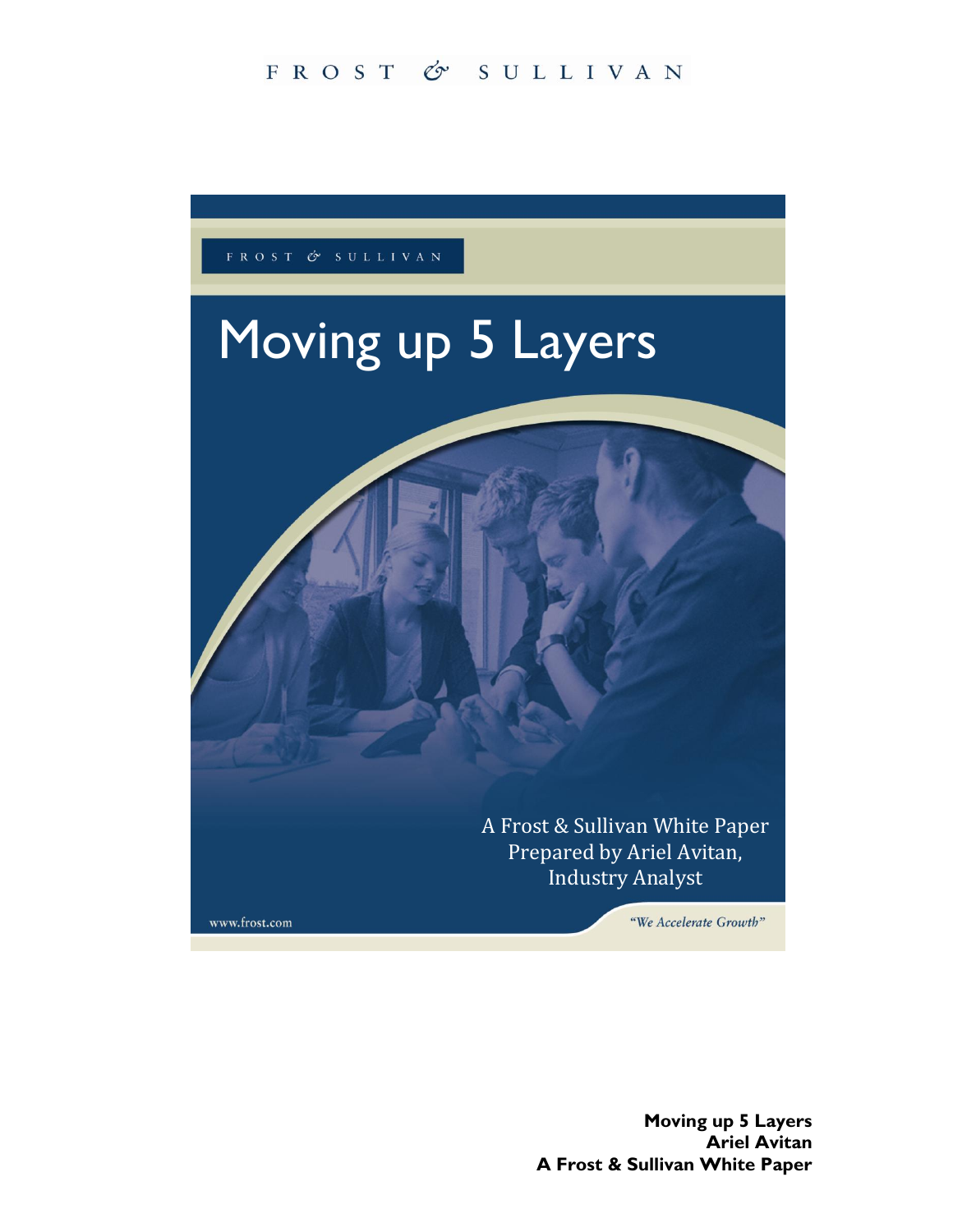## FROST & SULLIVAN



**Moving up 5 Layers Ariel Avitan A Frost & Sullivan White Paper**